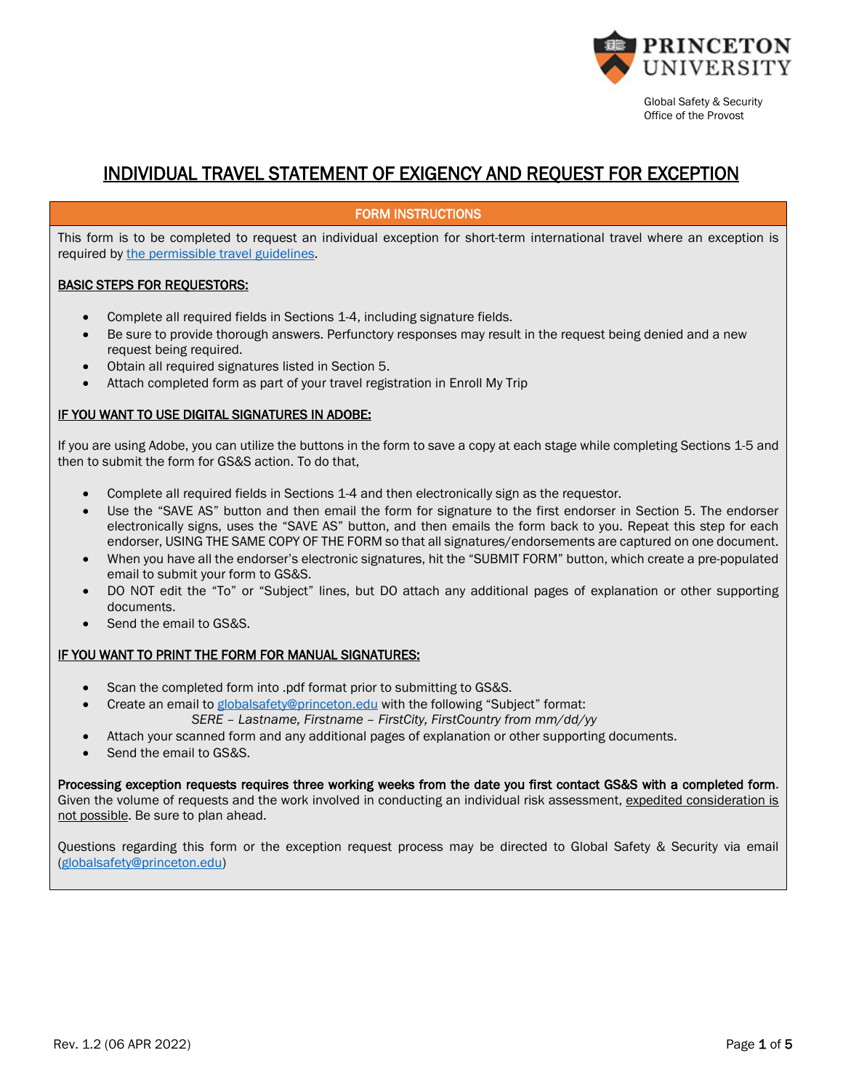

# INDIVIDUAL TRAVEL STATEMENT OF EXIGENCY AND REQUEST FOR EXCEPTION

### FORM INSTRUCTIONS

This form is to be completed to request an individual exception for short-term international travel where an exception is required by [the permissible travel guidelines.](https://international.princeton.edu/pandemic-travel-policy)

#### BASIC STEPS FOR REQUESTORS:

- Complete all required fields in Sections 1-4, including signature fields.
- Be sure to provide thorough answers. Perfunctory responses may result in the request being denied and a new request being required.
- Obtain all required signatures listed in Section 5.
- Attach completed form as part of your travel registration in Enroll My Trip

### IF YOU WANT TO USE DIGITAL SIGNATURES IN ADOBE:

If you are using Adobe, you can utilize the buttons in the form to save a copy at each stage while completing Sections 1-5 and then to submit the form for GS&S action. To do that,

- Complete all required fields in Sections 1-4 and then electronically sign as the requestor.
- Use the "SAVE AS" button and then email the form for signature to the first endorser in Section 5. The endorser electronically signs, uses the "SAVE AS" button, and then emails the form back to you. Repeat this step for each endorser, USING THE SAME COPY OF THE FORM so that all signatures/endorsements are captured on one document.
- When you have all the endorser's electronic signatures, hit the "SUBMIT FORM" button, which create a pre-populated email to submit your form to GS&S.
- DO NOT edit the "To" or "Subject" lines, but DO attach any additional pages of explanation or other supporting documents.
- Send the email to GS&S.

### IF YOU WANT TO PRINT THE FORM FOR MANUAL SIGNATURES:

- Scan the completed form into .pdf format prior to submitting to GS&S.
- Create an email to [globalsafety@princeton.edu](mailto:globalsafety@princeton.edu) with the following "Subject" format: *SERE – Lastname, Firstname – FirstCity, FirstCountry from mm/dd/yy*
- Attach your scanned form and any additional pages of explanation or other supporting documents.
- Send the email to GS&S.

Processing exception requests requires three working weeks from the date you first contact GS&S with a completed form. Given the volume of requests and the work involved in conducting an individual risk assessment, expedited consideration is not possible. Be sure to plan ahead.

Questions regarding this form or the exception request process may be directed to Global Safety & Security via email [\(globalsafety@princeton.edu\)](mailto:globalsafety@princeton.edu)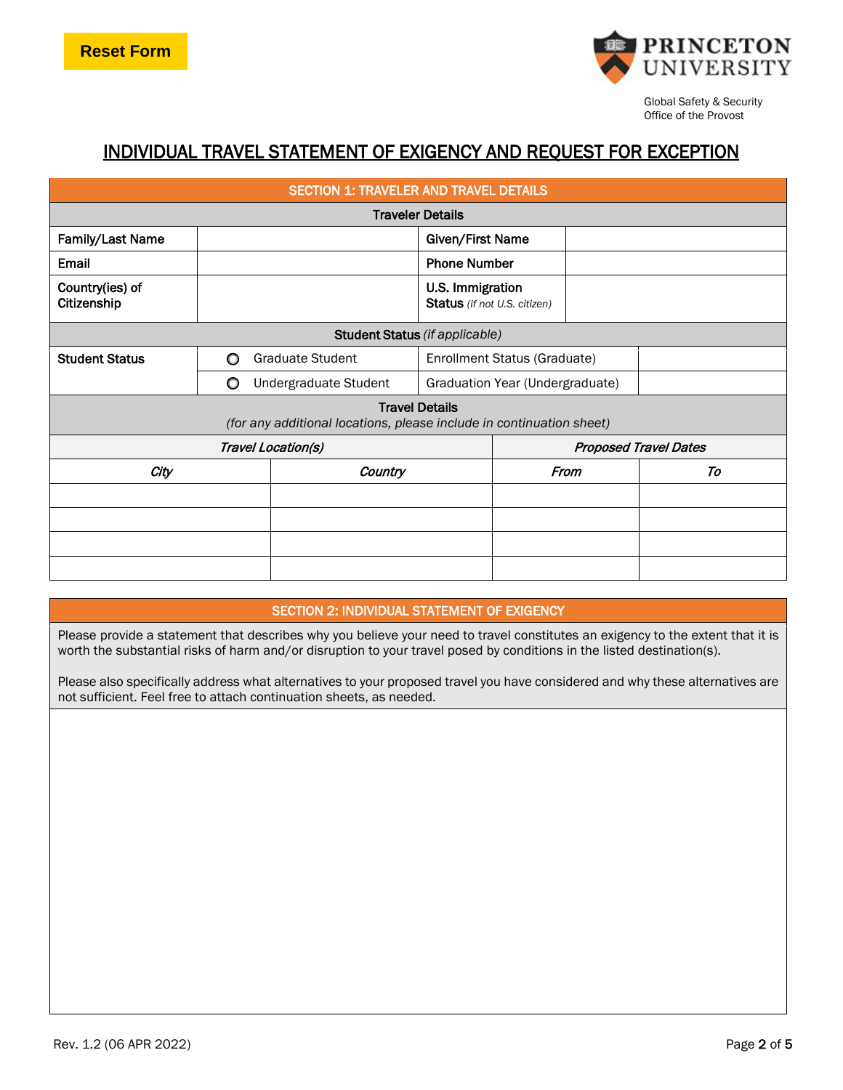

# INDIVIDUAL TRAVEL STATEMENT OF EXIGENCY AND REQUEST FOR EXCEPTION

| <b>SECTION 1: TRAVELER AND TRAVEL DETAILS</b>                                                 |                                                    |                         |                                                  |                                 |      |    |
|-----------------------------------------------------------------------------------------------|----------------------------------------------------|-------------------------|--------------------------------------------------|---------------------------------|------|----|
| <b>Traveler Details</b>                                                                       |                                                    |                         |                                                  |                                 |      |    |
| Family/Last Name                                                                              |                                                    |                         | Given/First Name                                 |                                 |      |    |
| Email                                                                                         |                                                    |                         | <b>Phone Number</b>                              |                                 |      |    |
| Country(ies) of<br>Citizenship                                                                |                                                    |                         | U.S. Immigration<br>Status (if not U.S. citizen) |                                 |      |    |
| Student Status (if applicable)                                                                |                                                    |                         |                                                  |                                 |      |    |
| <b>Student Status</b>                                                                         | O                                                  | <b>Graduate Student</b> |                                                  | Enrollment Status (Graduate)    |      |    |
|                                                                                               | O                                                  | Undergraduate Student   |                                                  | Graduation Year (Undergraduate) |      |    |
| <b>Travel Details</b><br>(for any additional locations, please include in continuation sheet) |                                                    |                         |                                                  |                                 |      |    |
|                                                                                               | Travel Location(s)<br><b>Proposed Travel Dates</b> |                         |                                                  |                                 |      |    |
| City                                                                                          |                                                    | Country                 |                                                  |                                 | From | To |
|                                                                                               |                                                    |                         |                                                  |                                 |      |    |
|                                                                                               |                                                    |                         |                                                  |                                 |      |    |
|                                                                                               |                                                    |                         |                                                  |                                 |      |    |
|                                                                                               |                                                    |                         |                                                  |                                 |      |    |

# SECTION 2: INDIVIDUAL STATEMENT OF EXIGENCY

Please provide a statement that describes why you believe your need to travel constitutes an exigency to the extent that it is worth the substantial risks of harm and/or disruption to your travel posed by conditions in the listed destination(s).

Please also specifically address what alternatives to your proposed travel you have considered and why these alternatives are not sufficient. Feel free to attach continuation sheets, as needed.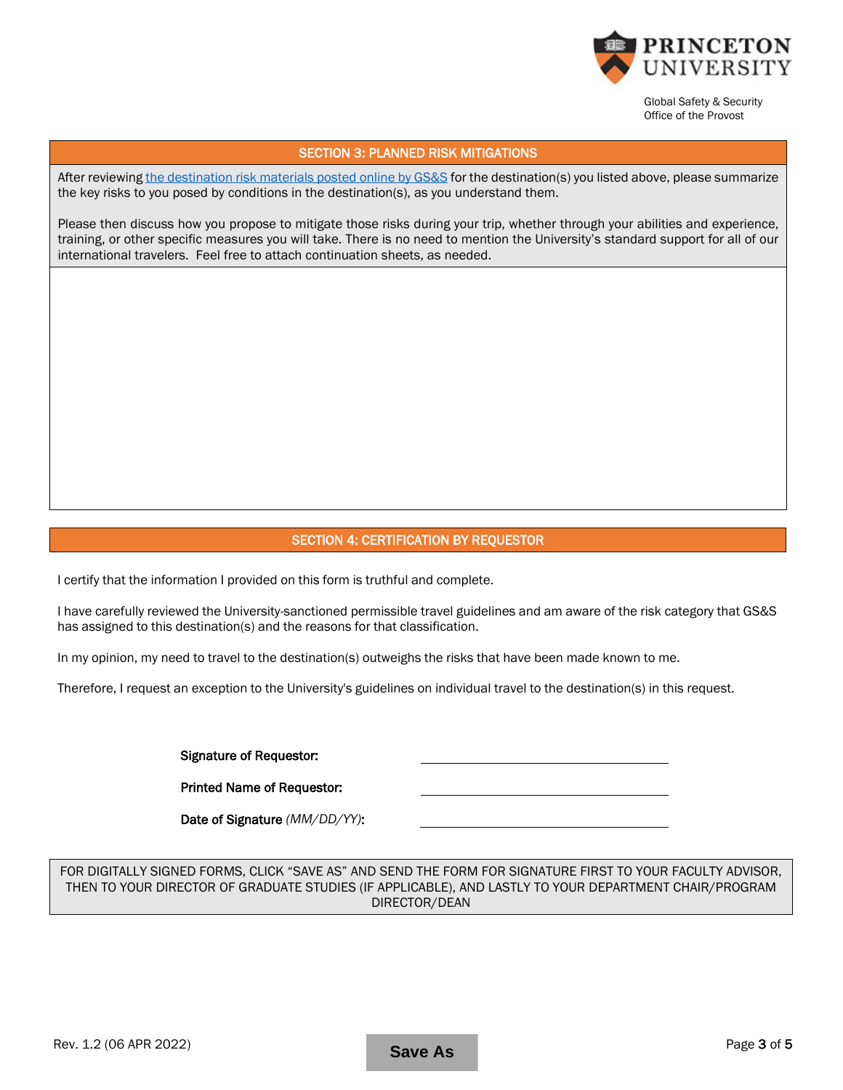

#### SECTION 3: PLANNED RISK MITIGATIONS

After reviewing [the destination risk materials posted online by GS&S](https://international.princeton.edu/global-support-resources/destination-guidance) for the destination(s) you listed above, please summarize the key risks to you posed by conditions in the destination(s), as you understand them.

Please then discuss how you propose to mitigate those risks during your trip, whether through your abilities and experience, training, or other specific measures you will take. There is no need to mention the University's standard support for all of our international travelers. Feel free to attach continuation sheets, as needed.

## SECTION 4: CERTIFICATION BY REQUESTOR

I certify that the information I provided on this form is truthful and complete.

I have carefully reviewed the University-sanctioned permissible travel guidelines and am aware of the risk category that GS&S has assigned to this destination(s) and the reasons for that classification.

In my opinion, my need to travel to the destination(s) outweighs the risks that have been made known to me.

Therefore, I request an exception to the University's guidelines on individual travel to the destination(s) in this request.

Signature of Requestor:

Printed Name of Requestor:

Date of Signature *(MM/DD/YY)*:

FOR DIGITALLY SIGNED FORMS, CLICK "SAVE AS" AND SEND THE FORM FOR SIGNATURE FIRST TO YOUR FACULTY ADVISOR, THEN TO YOUR DIRECTOR OF GRADUATE STUDIES (IF APPLICABLE), AND LASTLY TO YOUR DEPARTMENT CHAIR/PROGRAM DIRECTOR/DEAN

**Save As**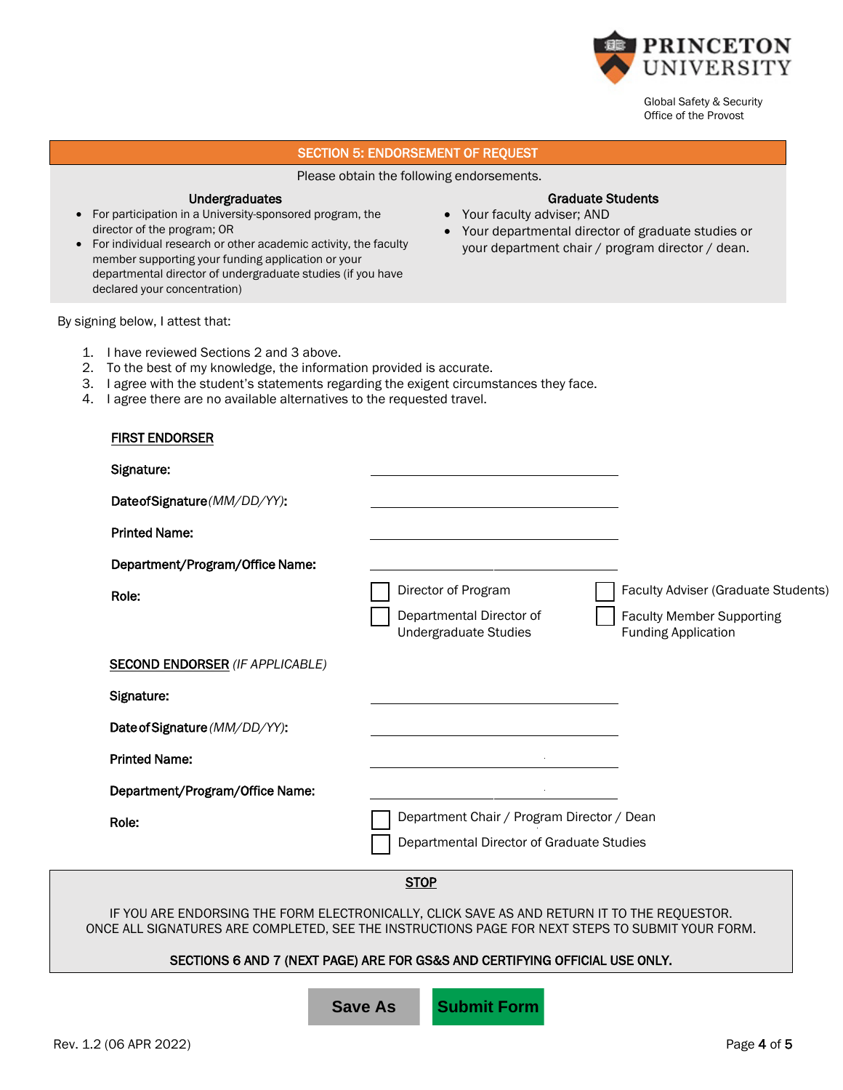

Graduate Students

• Your departmental director of graduate studies or your department chair / program director / dean.

• Your faculty adviser; AND

Global Safety & Security Office of the Provost

## SECTION 5: ENDORSEMENT OF REQUEST

Please obtain the following endorsements.

#### Undergraduates

- For participation in a University-sponsored program, the director of the program; OR
- For individual research or other academic activity, the faculty member supporting your funding application or your departmental director of undergraduate studies (if you have declared your concentration)

By signing below, I attest that:

- 1. I have reviewed Sections 2 and 3 above.
- 2. To the best of my knowledge, the information provided is accurate.
- 3. I agree with the student's statements regarding the exigent circumstances they face.
- 4. I agree there are no available alternatives to the requested travel.

| <b>FIRST ENDORSER</b>                                                                                                                                                                           |                                                                             |                                                                |
|-------------------------------------------------------------------------------------------------------------------------------------------------------------------------------------------------|-----------------------------------------------------------------------------|----------------------------------------------------------------|
| Signature:                                                                                                                                                                                      |                                                                             |                                                                |
| DateofSignature(MM/DD/YY):                                                                                                                                                                      |                                                                             |                                                                |
| <b>Printed Name:</b>                                                                                                                                                                            |                                                                             |                                                                |
| Department/Program/Office Name:                                                                                                                                                                 |                                                                             |                                                                |
| Role:                                                                                                                                                                                           | Director of Program                                                         | Faculty Adviser (Graduate Students)                            |
|                                                                                                                                                                                                 | Departmental Director of<br><b>Undergraduate Studies</b>                    | <b>Faculty Member Supporting</b><br><b>Funding Application</b> |
| <b>SECOND ENDORSER (IF APPLICABLE)</b>                                                                                                                                                          |                                                                             |                                                                |
| Signature:                                                                                                                                                                                      |                                                                             |                                                                |
| Date of Signature (MM/DD/YY):                                                                                                                                                                   |                                                                             |                                                                |
| <b>Printed Name:</b>                                                                                                                                                                            |                                                                             |                                                                |
| Department/Program/Office Name:                                                                                                                                                                 |                                                                             |                                                                |
| Role:                                                                                                                                                                                           | Department Chair / Program Director / Dean                                  |                                                                |
|                                                                                                                                                                                                 | Departmental Director of Graduate Studies                                   |                                                                |
|                                                                                                                                                                                                 | <b>STOP</b>                                                                 |                                                                |
| IF YOU ARE ENDORSING THE FORM ELECTRONICALLY, CLICK SAVE AS AND RETURN IT TO THE REQUESTOR.<br>ONCE ALL SIGNATURES ARE COMPLETED, SEE THE INSTRUCTIONS PAGE FOR NEXT STEPS TO SUBMIT YOUR FORM. |                                                                             |                                                                |
|                                                                                                                                                                                                 | SECTIONS 6 AND 7 (NEXT PAGE) ARE FOR GS&S AND CERTIFYING OFFICIAL USE ONLY. |                                                                |
|                                                                                                                                                                                                 |                                                                             |                                                                |

**Save As Submit Form**